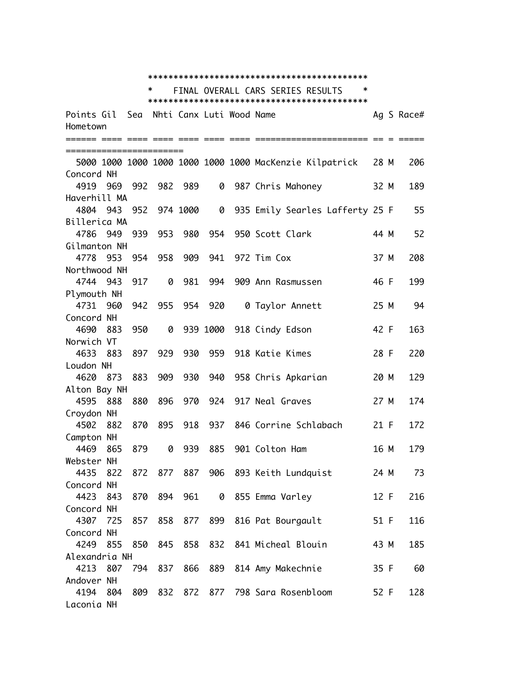|                         | *<br>∗<br>FINAL OVERALL CARS SERIES RESULTS |     |                                |     |     |  |                                                         |      |            |  |
|-------------------------|---------------------------------------------|-----|--------------------------------|-----|-----|--|---------------------------------------------------------|------|------------|--|
|                         |                                             |     |                                |     |     |  |                                                         |      |            |  |
| Points Gil              |                                             |     | Sea - Nhti Canx Luti Wood Name |     |     |  |                                                         |      | Ag S Race# |  |
| Hometown                |                                             |     |                                |     |     |  |                                                         |      |            |  |
|                         |                                             |     |                                |     |     |  |                                                         |      |            |  |
| ======================= |                                             |     |                                |     |     |  |                                                         |      |            |  |
|                         |                                             |     |                                |     |     |  | 5000 1000 1000 1000 1000 1000 1000 MacKenzie Kilpatrick | 28 M | 206        |  |
| Concord NH              |                                             |     |                                |     |     |  |                                                         |      |            |  |
| 4919<br>Haverhill MA    | 969                                         |     | 992 982 989                    |     | 0   |  | 987 Chris Mahoney                                       | 32 M | 189        |  |
| 4804 943                |                                             |     | 952 974 1000                   |     |     |  | 0 935 Emily Searles Lafferty 25 F                       |      | 55         |  |
| Billerica MA            |                                             |     |                                |     |     |  |                                                         |      |            |  |
| 4786                    | 949                                         | 939 | 953                            | 980 | 954 |  | 950 Scott Clark                                         | 44 M | 52         |  |
| Gilmanton NH            |                                             |     |                                |     |     |  |                                                         |      |            |  |
| 4778                    | 953                                         | 954 | 958                            | 909 |     |  | 941 972 Tim Cox                                         | 37 M | 208        |  |
| Northwood NH            |                                             |     |                                |     |     |  |                                                         |      |            |  |
| 4744 943                |                                             | 917 | 0                              | 981 | 994 |  | 909 Ann Rasmussen                                       | 46 F | 199        |  |
| Plymouth NH             |                                             |     |                                |     |     |  |                                                         |      |            |  |
| 4731 960                |                                             | 942 | 955                            | 954 | 920 |  | 0 Taylor Annett                                         | 25 M | 94         |  |
| Concord NH              |                                             |     |                                |     |     |  |                                                         |      |            |  |
| 4690                    | 883                                         | 950 | 0                              |     |     |  | 939 1000 918 Cindy Edson                                | 42 F | 163        |  |
| Norwich VT              |                                             |     |                                |     |     |  |                                                         |      |            |  |
| 4633                    | 883                                         | 897 | 929                            | 930 |     |  | 959 918 Katie Kimes                                     | 28 F | 220        |  |
| Loudon NH               |                                             |     |                                |     |     |  |                                                         |      |            |  |
| 4620                    | - 873                                       | 883 | 909                            | 930 |     |  | 940 958 Chris Apkarian                                  | 20 M | 129        |  |
| Alton Bay NH            |                                             |     |                                |     |     |  |                                                         |      |            |  |
| 4595 888                |                                             | 880 | 896                            | 970 |     |  | 924 917 Neal Graves                                     | 27 M | 174        |  |
| Croydon NH              |                                             |     |                                |     |     |  |                                                         |      |            |  |
| 4502                    | 882                                         | 870 | 895                            | 918 |     |  | 937 846 Corrine Schlabach                               | 21 F | 172        |  |
| Campton NH              |                                             |     |                                |     |     |  |                                                         |      |            |  |
| 4469                    | 865                                         | 879 | 0                              | 939 | 885 |  | 901 Colton Ham                                          | 16 M | 179        |  |
| Webster NH              |                                             |     |                                |     |     |  |                                                         |      |            |  |
| 4435                    | 822                                         |     |                                |     |     |  | 872 877 887 906 893 Keith Lundquist                     | 24 M | 73         |  |
| Concord NH              |                                             |     |                                |     |     |  |                                                         |      |            |  |
| 4423                    | 843                                         | 870 | 894                            | 961 |     |  | 0 855 Emma Varley                                       | 12 F | 216        |  |
| Concord NH<br>4307 725  |                                             | 857 | 858                            | 877 |     |  | 899 816 Pat Bourgault                                   | 51 F | 116        |  |
| Concord NH              |                                             |     |                                |     |     |  |                                                         |      |            |  |
| 4249                    | 855                                         | 850 | 845                            | 858 |     |  | 832 841 Micheal Blouin                                  | 43 M | 185        |  |
| Alexandria NH           |                                             |     |                                |     |     |  |                                                         |      |            |  |
| 4213                    | 807                                         |     | 794 837                        | 866 | 889 |  | 814 Amy Makechnie                                       | 35 F | 60         |  |
| Andover NH              |                                             |     |                                |     |     |  |                                                         |      |            |  |
| 4194 804                |                                             | 809 |                                |     |     |  | 832 872 877 798 Sara Rosenbloom                         | 52 F | 128        |  |
| Laconia NH              |                                             |     |                                |     |     |  |                                                         |      |            |  |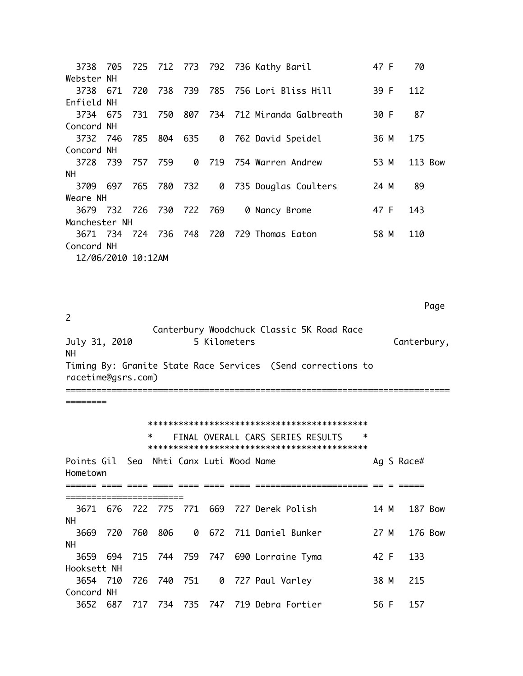|                    |  |  | 3738 705 725 712 773 792 736 Kathy Baril       | 47 F | 70      |
|--------------------|--|--|------------------------------------------------|------|---------|
| Webster NH         |  |  |                                                |      |         |
|                    |  |  | 3738 671 720 738 739 785 756 Lori Bliss Hill   | 39 F | 112     |
| Enfield NH         |  |  |                                                |      |         |
|                    |  |  | 3734 675 731 750 807 734 712 Miranda Galbreath | 30 F | 87      |
| Concord NH         |  |  |                                                |      |         |
|                    |  |  | 3732 746 785 804 635 0 762 David Speidel       | 36 M | 175     |
| Concord NH         |  |  |                                                |      |         |
|                    |  |  | 3728 739 757 759 0 719 754 Warren Andrew       | 53 M | 113 Bow |
| NH.                |  |  |                                                |      |         |
|                    |  |  | 3709 697 765 780 732 0 735 Douglas Coulters    | 24 M | 89      |
| Weare NH           |  |  |                                                |      |         |
|                    |  |  | 3679 732 726 730 722 769 0 Nancy Brome         | 47 F | 143     |
| Manchester NH      |  |  |                                                |      |         |
|                    |  |  | 3671 734 724 736 748 720 729 Thomas Eaton      | 58 M | 110     |
| Concord NH         |  |  |                                                |      |         |
| 12/06/2010 10:12AM |  |  |                                                |      |         |

Page  $\overline{c}$ Canterbury Woodchuck Classic 5K Road Race 5 Kilometers July 31, 2010 Canterbury, **NH** Timing By: Granite State Race Services (Send corrections to racetime@gsrs.com) ======== \_\_\_\_\_\_\_\_\_\_\_\_ L

========

| ∗ | FINAL OVERALL CARS SERIES RESULTS |  | * |
|---|-----------------------------------|--|---|
|   |                                   |  |   |

| Points Gil Sea Nhti Canx Luti Wood Name<br>Hometown |     |     |     |  |                                            |      | Ag S Race#     |  |
|-----------------------------------------------------|-----|-----|-----|--|--------------------------------------------|------|----------------|--|
|                                                     |     |     |     |  |                                            |      |                |  |
| 3671                                                |     |     |     |  | 676 722 775 771 669 727 Derek Polish       | 14 M | <b>187 Bow</b> |  |
| <b>NH</b><br>3669                                   | 720 | 760 | 806 |  | 0 672 711 Daniel Bunker                    | 27 M | 176 Bow        |  |
| <b>NH</b>                                           |     |     |     |  | 3659 694 715 744 759 747 690 Lorraine Tyma | 42 F | 133            |  |
| Hooksett NH                                         |     |     |     |  | 3654 710 726 740 751 0 727 Paul Varley     | 38 M | 215            |  |
| Concord NH<br>3652                                  |     |     |     |  | 687 717 734 735 747 719 Debra Fortier      | 56 F | 157            |  |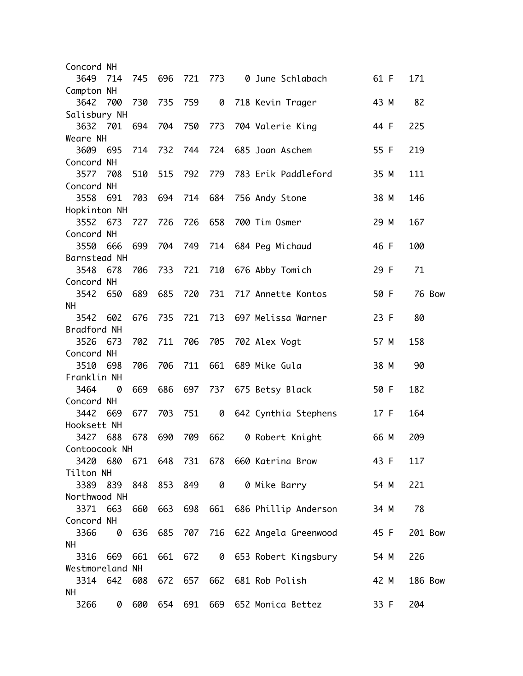| Concord NH      |     |     |             |         |           |                                       |      |                |        |
|-----------------|-----|-----|-------------|---------|-----------|---------------------------------------|------|----------------|--------|
| 3649            | 714 | 745 | 696         | 721 773 |           | 0 June Schlabach                      | 61 F | 171            |        |
| Campton NH      |     |     |             |         |           |                                       |      |                |        |
| 3642            | 700 | 730 | 735         | 759     |           | 0 718 Kevin Trager                    | 43 M | 82             |        |
| Salisbury NH    |     |     |             |         |           |                                       |      |                |        |
| 3632 701        |     | 694 | 704         | 750     | 773       | 704 Valerie King                      | 44 F | 225            |        |
| Weare NH        |     |     |             |         |           |                                       |      |                |        |
| 3609            | 695 | 714 | 732         |         |           | 744 724 685 Joan Aschem               | 55 F | 219            |        |
| Concord NH      |     |     |             |         |           |                                       |      |                |        |
| 3577            | 708 | 510 | 515         | 792     | 779       | 783 Erik Paddleford                   | 35 M | 111            |        |
| Concord NH      |     |     |             |         |           |                                       |      |                |        |
| 3558            | 691 | 703 | 694         |         |           | 714 684 756 Andy Stone                | 38 M | 146            |        |
| Hopkinton NH    |     |     |             |         |           |                                       |      |                |        |
| 3552            | 673 | 727 | 726         | 726     | 658       | 700 Tim Osmer                         | 29 M | 167            |        |
| Concord NH      |     |     |             |         |           |                                       |      |                |        |
| 3550            | 666 | 699 | 704         | 749     |           | 714 684 Peg Michaud                   | 46 F | 100            |        |
| Barnstead NH    |     |     |             |         |           |                                       |      |                |        |
| 3548            | 678 | 706 | 733         | 721     | 710       | 676 Abby Tomich                       | 29 F | 71             |        |
| Concord NH      |     |     |             |         |           |                                       |      |                |        |
| 3542            | 650 | 689 | 685         | 720     | 731       | 717 Annette Kontos                    | 50 F |                | 76 Bow |
| <b>NH</b>       |     |     |             |         |           |                                       |      |                |        |
| 3542            | 602 | 676 | 735         | 721     | 713       | 697 Melissa Warner                    | 23 F | 80             |        |
| Bradford NH     |     |     |             |         |           |                                       |      |                |        |
| 3526            | 673 | 702 | 711         | 706     | 705       | 702 Alex Vogt                         | 57 M | 158            |        |
| Concord NH      |     |     |             |         |           |                                       |      |                |        |
| 3510            | 698 | 706 | 706         | 711     | 661       | 689 Mike Gula                         | 38 M | 90             |        |
| Franklin NH     |     |     |             |         |           |                                       |      |                |        |
| 3464            | 0   | 669 | 686         | 697     |           | 737 675 Betsy Black                   | 50 F | 182            |        |
| Concord NH      |     |     |             |         |           |                                       |      |                |        |
| 3442            | 669 | 677 | 703         | 751     | 0         | 642 Cynthia Stephens                  | 17 F | 164            |        |
| Hooksett NH     |     |     |             |         |           |                                       |      |                |        |
| 3427 688        |     | 678 | 690         | 709 662 |           | 0 Robert Knight                       | 66 M | 209            |        |
| Contoocook NH   |     |     |             |         |           |                                       |      |                |        |
| 3420 680        |     |     |             |         |           | 671  648  731  678  660  Katrina Brow | 43 F | 117            |        |
| Tilton NH       |     |     |             |         |           |                                       |      |                |        |
| 3389            | 839 |     | 848 853 849 |         | $\bullet$ | 0 Mike Barry                          | 54 M | 221            |        |
| Northwood NH    |     |     |             |         |           |                                       |      |                |        |
| 3371            | 663 | 660 |             |         |           | 663 698 661 686 Phillip Anderson      | 34 M | 78             |        |
| Concord NH      |     |     |             |         |           |                                       |      |                |        |
| 3366            | 0   | 636 | 685         |         |           | 707 716 622 Angela Greenwood          | 45 F | 201 Bow        |        |
| NH.             |     |     |             |         |           |                                       |      |                |        |
| 3316            | 669 | 661 | 661         | 672     |           | 0 653 Robert Kingsbury                | 54 M | 226            |        |
| Westmoreland NH |     |     |             |         |           |                                       |      |                |        |
| 3314 642        |     | 608 | 672         | 657 662 |           | 681 Rob Polish                        | 42 M | <b>186 Bow</b> |        |
| <b>NH</b>       |     |     |             |         |           |                                       |      |                |        |
| 3266            | 0   | 600 |             |         |           | 654 691 669 652 Monica Bettez         | 33 F | 204            |        |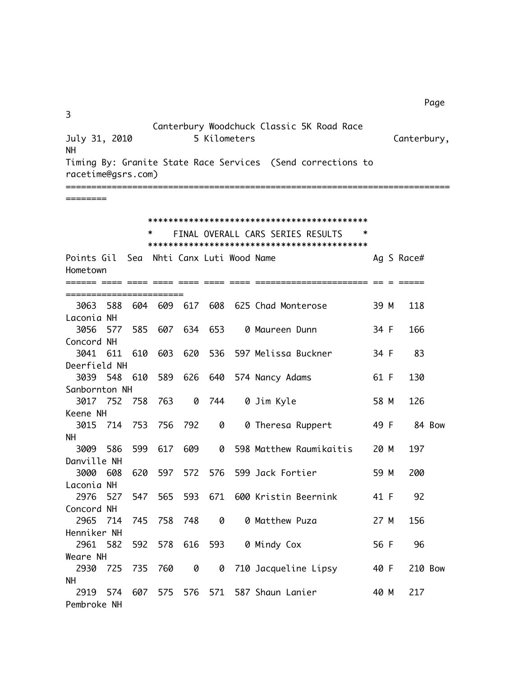| 3                                      |     |     |                          |         |              | Canterbury Woodchuck Classic 5K Road Race                   |      |             |
|----------------------------------------|-----|-----|--------------------------|---------|--------------|-------------------------------------------------------------|------|-------------|
| July 31, 2010                          |     |     |                          |         | 5 Kilometers |                                                             |      | Canterbury, |
| <b>NH</b><br>racetime@gsrs.com)        |     |     |                          |         |              | Timing By: Granite State Race Services (Send corrections to |      |             |
| ========                               |     |     |                          |         |              |                                                             |      |             |
|                                        |     |     |                          |         |              |                                                             |      |             |
|                                        |     | *   |                          |         |              | FINAL OVERALL CARS SERIES RESULTS                           | ∗    |             |
|                                        |     |     |                          |         |              |                                                             |      |             |
| Points Gil                             | Sea |     | Nhti Canx Luti Wood Name |         |              |                                                             |      | Ag S Race#  |
| Hometown                               |     |     |                          |         |              |                                                             |      |             |
|                                        |     |     |                          |         |              |                                                             |      |             |
| =======================<br>588<br>3063 | 604 | 609 | 617                      | 608     |              | 625 Chad Monterose                                          | 39 M | 118         |
| Laconia NH                             |     |     |                          |         |              |                                                             |      |             |
| 3056<br>577                            | 585 | 607 |                          | 634 653 |              | 0 Maureen Dunn                                              | 34 F | 166         |
| Concord NH                             |     |     |                          |         |              |                                                             |      |             |
| 3041 611                               | 610 | 603 | 620                      |         |              | 536 597 Melissa Buckner                                     | 34 F | 83          |
| Deerfield NH                           |     |     |                          |         |              |                                                             |      |             |
| 3039 548                               | 610 | 589 | 626                      |         |              | 640 574 Nancy Adams                                         | 61 F | 130         |
| Sanbornton NH                          |     |     |                          |         |              |                                                             |      |             |
| 3017 752                               | 758 | 763 |                          | 0 744   |              | 0 Jim Kyle                                                  | 58 M | 126         |
| Keene NH                               |     |     |                          |         |              |                                                             |      |             |
| 3015<br>714                            | 753 | 756 | 792                      | 0       |              | 0 Theresa Ruppert                                           | 49 F | 84 Bow      |
| <b>NH</b>                              |     |     |                          |         |              |                                                             |      |             |
| 586<br>3009                            | 599 | 617 | 609                      | 0       |              | 598 Matthew Raumikaitis                                     | 20 M | 197         |
| Danville NH                            |     |     |                          |         |              |                                                             |      |             |
| 3000<br>608                            | 620 | 597 | 572                      |         |              | 576 599 Jack Fortier                                        | 59 M | 200         |
| Laconia NH                             |     |     |                          |         |              |                                                             |      |             |
| 2976<br>527                            | 547 | 565 |                          |         |              | 593 671 600 Kristin Beernink                                | 41 F | 92          |
| Concord NH                             |     |     |                          |         |              |                                                             |      |             |
| 2965<br>714                            | 745 | 758 | 748                      | 0       |              | 0 Matthew Puza                                              | 27 M | 156         |
| Henniker NH                            |     |     |                          |         |              |                                                             |      |             |
| 2961 582                               | 592 | 578 | 616                      | 593     |              | 0 Mindy Cox                                                 | 56 F | 96          |
| Weare NH                               |     |     |                          |         |              |                                                             |      |             |
| 2930<br>725                            | 735 | 760 | 0                        | 0       |              | 710 Jacqueline Lipsy                                        | 40 F | 210 Bow     |
| <b>NH</b>                              |     |     |                          |         |              |                                                             |      |             |
| 574<br>2919<br>Pembroke NH             | 607 |     | 575 576                  |         |              | 571 587 Shaun Lanier                                        | 40 M | 217         |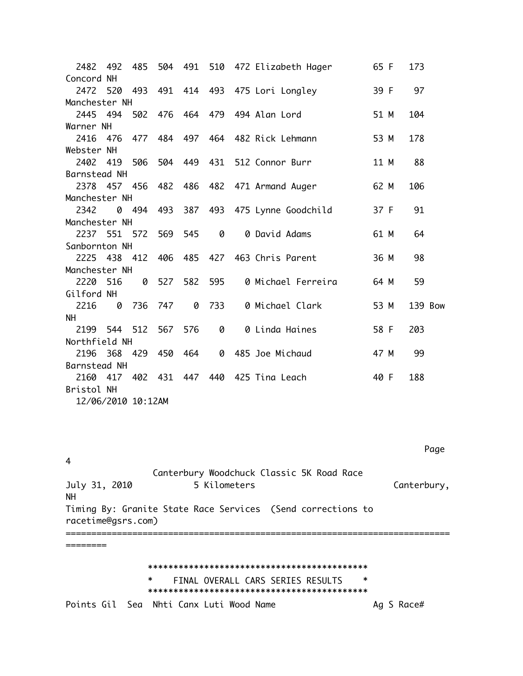2482 492 485 504 491 510 472 Elizabeth Hager 65 F 173 Concord NH 2472 520 493 491 414 493 475 Lori Longley 39 F 97 Manchester NH 2445 494 502 476 464 479 494 Alan Lord 51 M 104 Warner NH 2416 476 477 484 497 464 482 Rick Lehmann 53 M 178 Webster NH 2402 419 506 504 449 431 512 Connor Burr 11 M 88 Barnstead NH 2378 457 456 482 486 482 471 Armand Auger 62 M 106 Manchester NH 2342 0 494 493 387 493 475 Lynne Goodchild 37 F 91 Manchester NH 2237 551 572 569 545  $\bullet$ 0 David Adams 61 M 64 Sanbornton NH 2225 438 412 406 485 427 463 Chris Parent 36 M 98 Manchester NH 2220 516 59 Gilford NH 0 733 0 Michael Clark 2216 0 736 747 53 M 139 Bow **NH** 2199 544 512 567 576 203 Northfield NH 2196 368 429 450 464 0 485 Joe Michaud 47 M 99 Barnstead NH 2160 417 402 431 447 440 425 Tina Leach 40 F 188 Bristol NH 12/06/2010 10:12AM

 $\overline{4}$ 

========

\_\_\_\_\_\_\_\_\_\_\_\_\_\_\_\_\_\_\_\_\_\_\_\_\_\_\_\_

Page

Canterbury Woodchuck Classic 5K Road Race July 31, 2010 5 Kilometers Canterbury, **NH** Timing By: Granite State Race Services (Send corrections to racetime@gsrs.com)

FINAL OVERALL CARS SERIES RESULTS  $\ast$ Points Gil Sea Nhti Canx Luti Wood Name Ag S Race#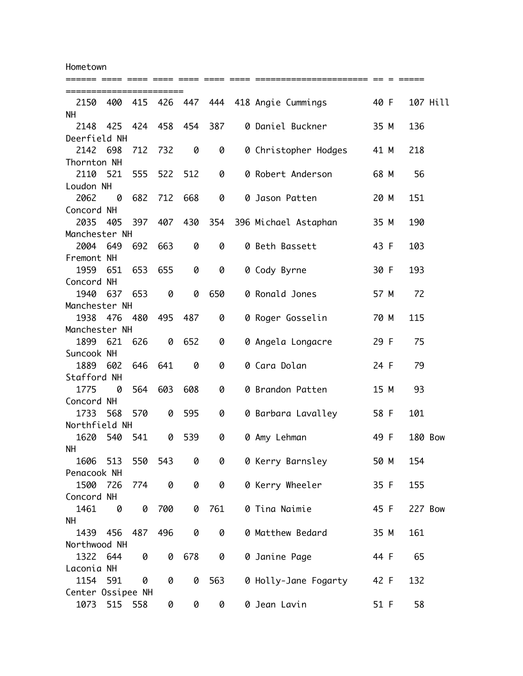Hometown

| ======================= |     |       |         |     |     |                                    |      |                |          |
|-------------------------|-----|-------|---------|-----|-----|------------------------------------|------|----------------|----------|
| 2150                    | 400 |       |         |     |     | 415 426 447 444 418 Angie Cummings | 40 F |                | 107 Hill |
| <b>NH</b>               |     |       |         |     |     |                                    |      |                |          |
| 2148                    | 425 |       | 424 458 | 454 | 387 | 0 Daniel Buckner                   | 35 M | 136            |          |
| Deerfield NH            |     |       |         |     |     |                                    |      |                |          |
| 2142 698                |     | 712   | 732     | 0   | 0   | 0 Christopher Hodges               | 41 M | 218            |          |
| Thornton NH             |     |       |         |     |     |                                    |      |                |          |
| 2110                    | 521 | 555   | 522     | 512 | 0   | 0 Robert Anderson                  | 68 M | 56             |          |
| Loudon NH               |     |       |         |     |     |                                    |      |                |          |
| 2062                    | 0   | 682   | 712     | 668 | 0   | 0 Jason Patten                     | 20 M | 151            |          |
| Concord NH              |     |       |         |     |     |                                    |      |                |          |
| 2035                    | 405 | 397   | 407     | 430 | 354 | 396 Michael Astaphan               | 35 M | 190            |          |
| Manchester NH           |     |       |         |     |     |                                    |      |                |          |
| 2004 649                |     | 692   | 663     | 0   | 0   | 0 Beth Bassett                     | 43 F | 103            |          |
| Fremont NH              |     |       |         |     |     |                                    |      |                |          |
| 1959                    | 651 | 653   | 655     | 0   | 0   | 0 Cody Byrne                       | 30 F | 193            |          |
| Concord NH              |     |       |         |     |     |                                    |      |                |          |
| 1940                    | 637 | 653   | 0       | 0   | 650 | 0 Ronald Jones                     | 57 M | 72             |          |
| Manchester NH           |     |       |         |     |     |                                    |      |                |          |
| 1938 476                |     | 480   | 495     | 487 | 0   | 0 Roger Gosselin                   | 70 M | 115            |          |
| Manchester NH           |     |       |         |     |     |                                    |      |                |          |
| 1899                    | 621 | 626   | 0       | 652 | 0   | 0 Angela Longacre                  | 29 F | 75             |          |
| Suncook NH              |     |       |         |     |     |                                    |      |                |          |
| 1889                    | 602 | 646   | 641     | 0   | 0   | 0 Cara Dolan                       | 24 F | 79             |          |
| Stafford NH             |     |       |         |     |     |                                    |      |                |          |
| 1775                    | 0   | 564   | 603     | 608 | 0   | 0 Brandon Patten                   | 15 M | 93             |          |
| Concord NH              |     |       |         |     |     |                                    |      |                |          |
| 1733                    | 568 | 570   | 0       | 595 | 0   | 0 Barbara Lavalley                 | 58 F | 101            |          |
| Northfield NH           |     |       |         |     |     |                                    |      |                |          |
| 1620                    | 540 | - 541 | 0       | 539 | 0   | 0 Amy Lehman                       | 49 F | <b>180 Bow</b> |          |
| NH.                     |     |       |         |     |     |                                    |      |                |          |
| 1606                    | 513 | 550   | 543     | 0   | 0   | 0 Kerry Barnsley                   | 50 M | 154            |          |
| Penacook NH             |     |       |         |     |     |                                    |      |                |          |
| 1500                    | 726 | 774   | 0       | 0   | 0   | 0 Kerry Wheeler                    | 35 F | 155            |          |
| Concord NH              |     |       |         |     |     |                                    |      |                |          |
| 1461                    | 0   | 0     | 700     | 0   | 761 | 0 Tina Naimie                      | 45 F | <b>227 Bow</b> |          |
| NH.                     |     |       |         |     |     |                                    |      |                |          |
| 1439                    | 456 | 487   | 496     | 0   | 0   | 0 Matthew Bedard                   | 35 M | 161            |          |
| Northwood NH            |     |       |         |     |     |                                    |      |                |          |
| 1322 644                |     | 0     | 0       | 678 | 0   | 0 Janine Page                      | 44 F | 65             |          |
| Laconia NH              |     |       |         |     |     |                                    |      |                |          |
| 1154                    | 591 | 0     | 0       | 0   | 563 | 0 Holly-Jane Fogarty               | 42 F | 132            |          |
| Center Ossipee NH       |     |       |         |     |     |                                    |      |                |          |
| 1073                    | 515 | 558   | 0       | 0   | 0   | 0 Jean Lavin                       | 51 F | 58             |          |

====== ==== ==== ==== ==== ==== ==== ====================== == = =====